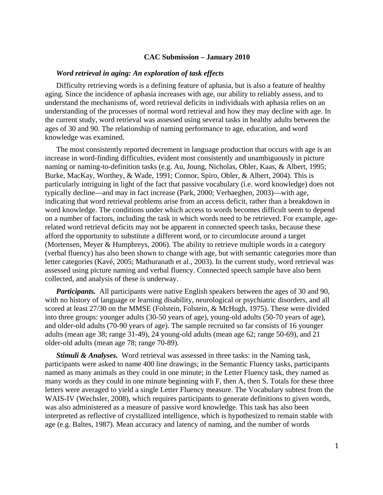## **CAC Submission – January 2010**

## *Word retrieval in aging: An exploration of task effects*

Difficulty retrieving words is a defining feature of aphasia, but is also a feature of healthy aging. Since the incidence of aphasia increases with age, our ability to reliably assess, and to understand the mechanisms of, word retrieval deficits in individuals with aphasia relies on an understanding of the processes of normal word retrieval and how they may decline with age. In the current study, word retrieval was assessed using several tasks in healthy adults between the ages of 30 and 90. The relationship of naming performance to age, education, and word knowledge was examined.

The most consistently reported decrement in language production that occurs with age is an increase in word-finding difficulties, evident most consistently and unambiguously in picture naming or naming-to-definition tasks (e.g. Au, Joung, Nicholas, Obler, Kaas, & Albert, 1995; Burke, MacKay, Worthey, & Wade, 1991; Connor, Spiro, Obler, & Albert, 2004). This is particularly intriguing in light of the fact that passive vocabulary (i.e. word knowledge) does not typically decline—and may in fact increase (Park, 2000; Verhaeghen, 2003)—with age, indicating that word retrieval problems arise from an access deficit, rather than a breakdown in word knowledge. The conditions under which access to words becomes difficult seem to depend on a number of factors, including the task in which words need to be retrieved. For example, agerelated word retrieval deficits may not be apparent in connected speech tasks, because these afford the opportunity to substitute a different word, or to circumlocute around a target (Mortensen, Meyer & Humphreys, 2006). The ability to retrieve multiple words in a category (verbal fluency) has also been shown to change with age, but with semantic categories more than letter categories (Kavé, 2005; Mathuranath et al., 2003). In the current study, word retrieval was assessed using picture naming and verbal fluency. Connected speech sample have also been collected, and analysis of these is underway.

*Participants.* All participants were native English speakers between the ages of 30 and 90, with no history of language or learning disability, neurological or psychiatric disorders, and all scored at least 27/30 on the MMSE (Folstein, Folstein, & McHugh, 1975). These were divided into three groups: younger adults (30-50 years of age), young-old adults (50-70 years of age), and older-old adults (70-90 years of age). The sample recruited so far consists of 16 younger adults (mean age 38; range 31-49), 24 young-old adults (mean age 62; range 50-69), and 21 older-old adults (mean age 78; range 70-89).

*Stimuli & Analyses.* Word retrieval was assessed in three tasks: in the Naming task, participants were asked to name 400 line drawings; in the Semantic Fluency tasks, participants named as many animals as they could in one minute; in the Letter Fluency task, they named as many words as they could in one minute beginning with F, then A, then S. Totals for these three letters were averaged to yield a single Letter Fluency measure. The Vocabulary subtest from the WAIS-IV (Wechsler, 2008), which requires participants to generate definitions to given words, was also administered as a measure of passive word knowledge. This task has also been interpreted as reflective of crystallized intelligence, which is hypothesized to remain stable with age (e.g. Baltes, 1987). Mean accuracy and latency of naming, and the number of words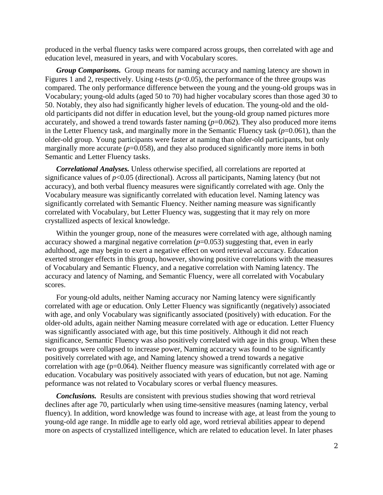produced in the verbal fluency tasks were compared across groups, then correlated with age and education level, measured in years, and with Vocabulary scores.

*Group Comparisons.* Group means for naming accuracy and naming latency are shown in Figures 1 and 2, respectively. Using *t*-tests ( $p$ <0.05), the performance of the three groups was compared. The only performance difference between the young and the young-old groups was in Vocabulary; young-old adults (aged 50 to 70) had higher vocabulary scores than those aged 30 to 50. Notably, they also had significantly higher levels of education. The young-old and the oldold participants did not differ in education level, but the young-old group named pictures more accurately, and showed a trend towards faster naming  $(p=0.062)$ . They also produced more items in the Letter Fluency task, and marginally more in the Semantic Fluency task  $(p=0.061)$ , than the older-old group. Young participants were faster at naming than older-old participants, but only marginally more accurate  $(p=0.058)$ , and they also produced significantly more items in both Semantic and Letter Fluency tasks.

*Correlational Analyses.* Unless otherwise specified, all correlations are reported at significance values of  $p<0.05$  (directional). Across all participants, Naming latency (but not accuracy), and both verbal fluency measures were significantly correlated with age. Only the Vocabulary measure was significantly correlated with education level. Naming latency was significantly correlated with Semantic Fluency. Neither naming measure was significantly correlated with Vocabulary, but Letter Fluency was, suggesting that it may rely on more crystallized aspects of lexical knowledge.

Within the younger group, none of the measures were correlated with age, although naming accuracy showed a marginal negative correlation  $(p=0.053)$  suggesting that, even in early adulthood, age may begin to exert a negative effect on word retrieval acccuracy. Education exerted stronger effects in this group, however, showing positive correlations with the measures of Vocabulary and Semantic Fluency, and a negative correlation with Naming latency. The accuracy and latency of Naming, and Semantic Fluency, were all correlated with Vocabulary scores.

For young-old adults, neither Naming accuracy nor Naming latency were significantly correlated with age or education. Only Letter Fluency was significantly (negatively) associated with age, and only Vocabulary was significantly associated (positively) with education. For the older-old adults, again neither Naming measure correlated with age or education. Letter Fluency was significantly associated with age, but this time positively. Although it did not reach significance, Semantic Fluency was also positively correlated with age in this group. When these two groups were collapsed to increase power, Naming accuracy was found to be significantly positively correlated with age, and Naming latency showed a trend towards a negative correlation with age (p=0.064). Neither fluency measure was significantly correlated with age or education. Vocabulary was positively associated with years of education, but not age. Naming peformance was not related to Vocabulary scores or verbal fluency measures.

*Conclusions.*Results are consistent with previous studies showing that word retrieval declines after age 70, particularly when using time-sensitive measures (naming latency, verbal fluency). In addition, word knowledge was found to increase with age, at least from the young to young-old age range. In middle age to early old age, word retrieval abilities appear to depend more on aspects of crystallized intelligence, which are related to education level. In later phases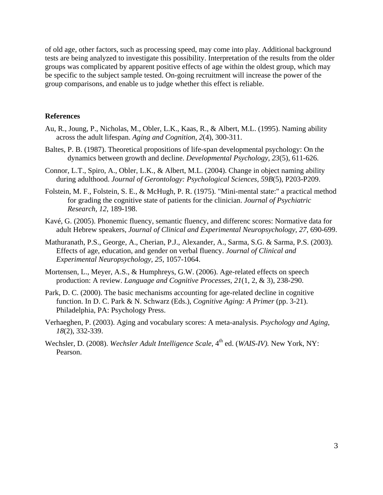of old age, other factors, such as processing speed, may come into play. Additional background tests are being analyzed to investigate this possibility. Interpretation of the results from the older groups was complicated by apparent positive effects of age within the oldest group, which may be specific to the subject sample tested. On-going recruitment will increase the power of the group comparisons, and enable us to judge whether this effect is reliable.

## **References**

- Au, R., Joung, P., Nicholas, M., Obler, L.K., Kaas, R., & Albert, M.L. (1995). Naming ability across the adult lifespan. *Aging and Cognition*, *2*(4), 300-311.
- Baltes, P. B. (1987). Theoretical propositions of life-span developmental psychology: On the dynamics between growth and decline. *Developmental Psychology, 23*(5), 611-626.
- Connor, L.T., Spiro, A., Obler, L.K., & Albert, M.L. (2004). Change in object naming ability during adulthood. *Journal of Gerontology: Psychological Sciences, 59B*(5), P203-P209.
- Folstein, M. F., Folstein, S. E., & McHugh, P. R. (1975). "Mini-mental state:" a practical method for grading the cognitive state of patients for the clinician. *Journal of Psychiatric Research, 12*, 189-198.
- Kavé, G. (2005). Phonemic fluency, semantic fluency, and differenc scores: Normative data for adult Hebrew speakers, *Journal of Clinical and Experimental Neuropsychology, 27*, 690-699.
- Mathuranath, P.S., George, A., Cherian, P.J., Alexander, A., Sarma, S.G. & Sarma, P.S. (2003). Effects of age, education, and gender on verbal fluency. *Journal of Clinical and Experimental Neuropsychology, 25,* 1057-1064.
- Mortensen, L., Meyer, A.S., & Humphreys, G.W. (2006). Age-related effects on speech production: A review. *Language and Cognitive Processes, 21*(1, 2, & 3), 238-290.
- Park, D. C. (2000). The basic mechanisms accounting for age-related decline in cognitive function. In D. C. Park & N. Schwarz (Eds.), *Cognitive Aging: A Primer* (pp. 3-21). Philadelphia, PA: Psychology Press.
- Verhaeghen, P. (2003). Aging and vocabulary scores: A meta-analysis. *Psychology and Aging, 18*(2), 332-339.
- Wechsler, D. (2008). *Wechsler Adult Intelligence Scale*, 4<sup>th</sup> ed. (*WAIS-IV*). New York, NY: Pearson.